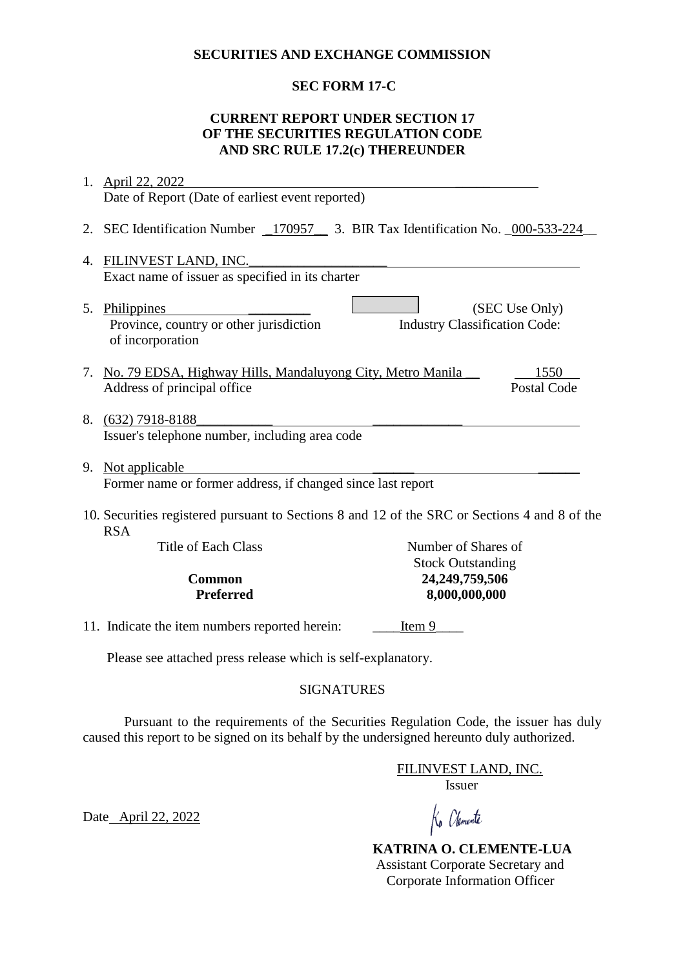#### **SECURITIES AND EXCHANGE COMMISSION**

# **SEC FORM 17-C**

### **CURRENT REPORT UNDER SECTION 17 OF THE SECURITIES REGULATION CODE AND SRC RULE 17.2(c) THEREUNDER**

|                                                              | 1. April 22, 2022                                                                                           |                                      |                    |  |
|--------------------------------------------------------------|-------------------------------------------------------------------------------------------------------------|--------------------------------------|--------------------|--|
|                                                              | Date of Report (Date of earliest event reported)                                                            |                                      |                    |  |
|                                                              | 2. SEC Identification Number _170957_ 3. BIR Tax Identification No. _000-533-224                            |                                      |                    |  |
| 4.                                                           | FILINVEST LAND, INC.                                                                                        |                                      |                    |  |
|                                                              | Exact name of issuer as specified in its charter                                                            |                                      |                    |  |
|                                                              | 5. Philippines<br>Province, country or other jurisdiction<br>of incorporation                               | <b>Industry Classification Code:</b> | (SEC Use Only)     |  |
|                                                              | 7. No. 79 EDSA, Highway Hills, Mandaluyong City, Metro Manila                                               |                                      | 1550               |  |
|                                                              | Address of principal office                                                                                 |                                      | <b>Postal Code</b> |  |
|                                                              | 8. (632) 7918-8188<br>Issuer's telephone number, including area code                                        |                                      |                    |  |
|                                                              | 9. Not applicable                                                                                           |                                      |                    |  |
| Former name or former address, if changed since last report  |                                                                                                             |                                      |                    |  |
|                                                              | 10. Securities registered pursuant to Sections 8 and 12 of the SRC or Sections 4 and 8 of the<br><b>RSA</b> |                                      |                    |  |
|                                                              | Title of Each Class                                                                                         | Number of Shares of                  |                    |  |
|                                                              |                                                                                                             | <b>Stock Outstanding</b>             |                    |  |
| <b>Common</b><br><b>Preferred</b>                            |                                                                                                             | 24,249,759,506<br>8,000,000,000      |                    |  |
|                                                              |                                                                                                             |                                      |                    |  |
|                                                              | 11. Indicate the item numbers reported herein:                                                              | Item 9                               |                    |  |
| Please see attached press release which is self-explanatory. |                                                                                                             |                                      |                    |  |

### SIGNATURES

Pursuant to the requirements of the Securities Regulation Code, the issuer has duly caused this report to be signed on its behalf by the undersigned hereunto duly authorized.

> FILINVEST LAND, INC. Issuer

Date April 22, 2022

Ko Olemente

 **KATRINA O. CLEMENTE-LUA** Assistant Corporate Secretary and Corporate Information Officer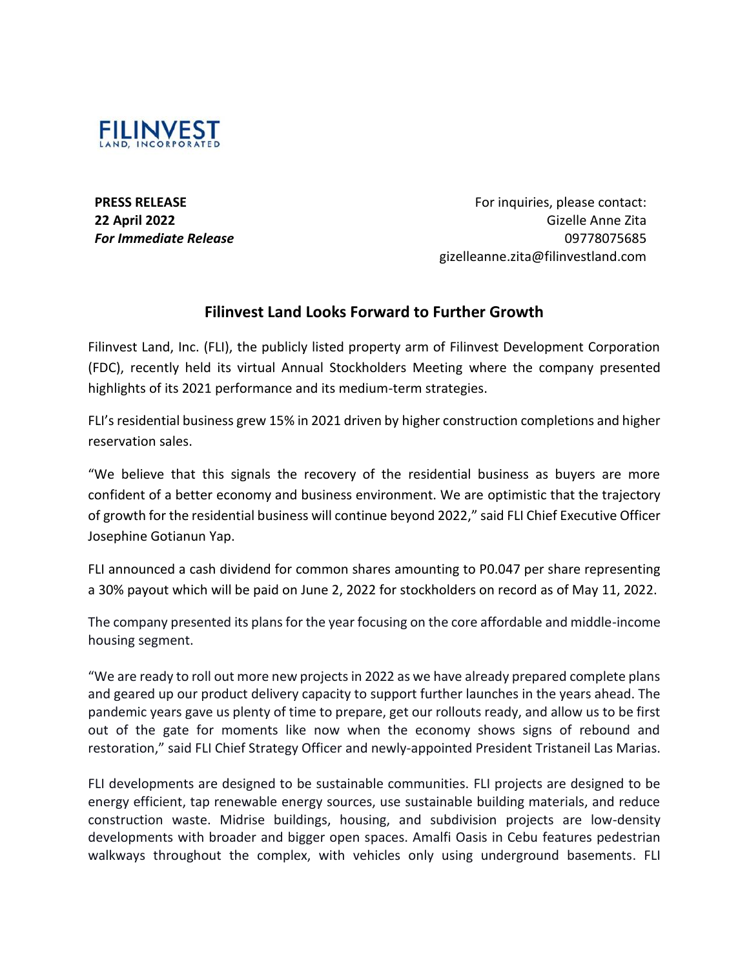

**PRESS RELEASE 22 April 2022** *For Immediate Release*

For inquiries, please contact: Gizelle Anne Zita 09778075685 gizelleanne.zita@filinvestland.com

# **Filinvest Land Looks Forward to Further Growth**

Filinvest Land, Inc. (FLI), the publicly listed property arm of Filinvest Development Corporation (FDC), recently held its virtual Annual Stockholders Meeting where the company presented highlights of its 2021 performance and its medium-term strategies.

FLI's residential business grew 15% in 2021 driven by higher construction completions and higher reservation sales.

"We believe that this signals the recovery of the residential business as buyers are more confident of a better economy and business environment. We are optimistic that the trajectory of growth for the residential business will continue beyond 2022," said FLI Chief Executive Officer Josephine Gotianun Yap.

FLI announced a cash dividend for common shares amounting to P0.047 per share representing a 30% payout which will be paid on June 2, 2022 for stockholders on record as of May 11, 2022.

The company presented its plans for the year focusing on the core affordable and middle-income housing segment.

"We are ready to roll out more new projects in 2022 as we have already prepared complete plans and geared up our product delivery capacity to support further launches in the years ahead. The pandemic years gave us plenty of time to prepare, get our rollouts ready, and allow us to be first out of the gate for moments like now when the economy shows signs of rebound and restoration," said FLI Chief Strategy Officer and newly-appointed President Tristaneil Las Marias.

FLI developments are designed to be sustainable communities. FLI projects are designed to be energy efficient, tap renewable energy sources, use sustainable building materials, and reduce construction waste. Midrise buildings, housing, and subdivision projects are low-density developments with broader and bigger open spaces. Amalfi Oasis in Cebu features pedestrian walkways throughout the complex, with vehicles only using underground basements. FLI